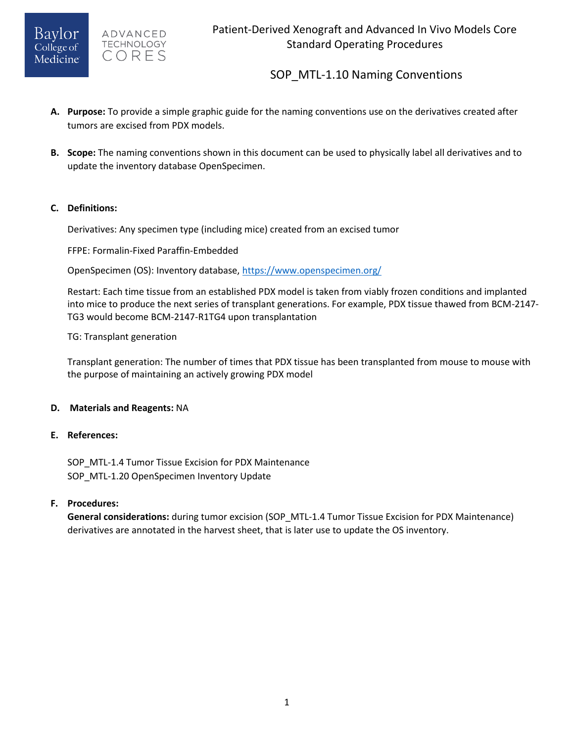

# SOP MTL-1.10 Naming Conventions

- **A. Purpose:** To provide a simple graphic guide for the naming conventions use on the derivatives created after tumors are excised from PDX models.
- **B. Scope:** The naming conventions shown in this document can be used to physically label all derivatives and to update the inventory database OpenSpecimen.

### **C. Definitions:**

Derivatives: Any specimen type (including mice) created from an excised tumor

FFPE: Formalin-Fixed Paraffin-Embedded

OpenSpecimen (OS): Inventory database,<https://www.openspecimen.org/>

Restart: Each time tissue from an established PDX model is taken from viably frozen conditions and implanted into mice to produce the next series of transplant generations. For example, PDX tissue thawed from BCM-2147- TG3 would become BCM-2147-R1TG4 upon transplantation

TG: Transplant generation

Transplant generation: The number of times that PDX tissue has been transplanted from mouse to mouse with the purpose of maintaining an actively growing PDX model

#### **D. Materials and Reagents:** NA

#### **E. References:**

SOP\_MTL-1.4 Tumor Tissue Excision for PDX Maintenance SOP MTL-1.20 OpenSpecimen Inventory Update

### **F. Procedures:**

**General considerations:** during tumor excision (SOP\_MTL-1.4 Tumor Tissue Excision for PDX Maintenance) derivatives are annotated in the harvest sheet, that is later use to update the OS inventory.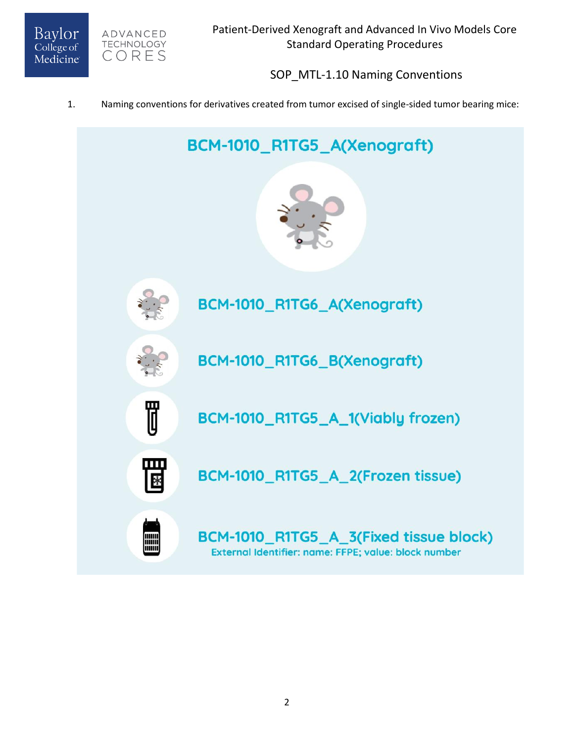

ADVANCED **TECHNOLOGY** CORES

# SOP MTL-1.10 Naming Conventions

### 1. Naming conventions for derivatives created from tumor excised of single-sided tumor bearing mice:

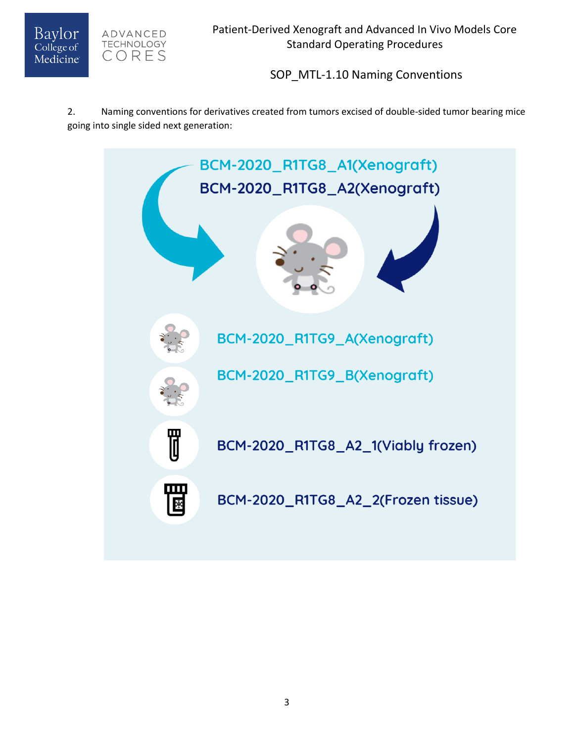



SOP\_MTL-1.10 Naming Conventions

2. Naming conventions for derivatives created from tumors excised of double-sided tumor bearing mice going into single sided next generation: